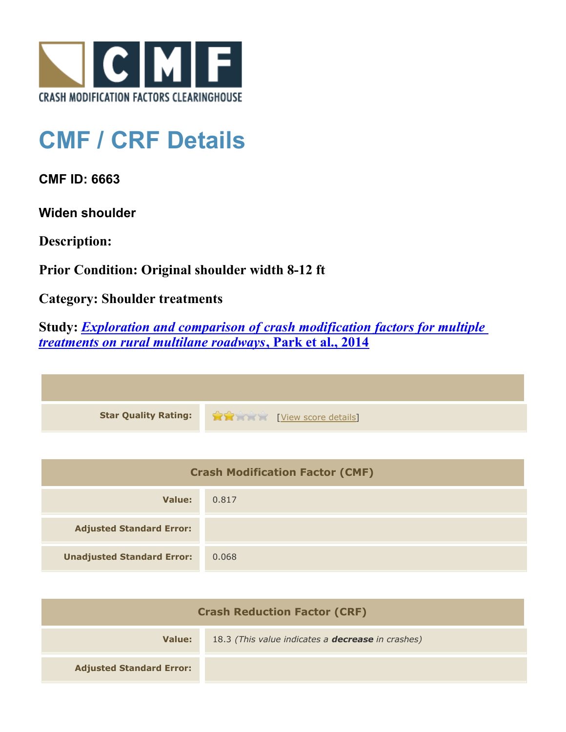

## **CMF / CRF Details**

**CMF ID: 6663**

**Widen shoulder**

**Description:** 

**Prior Condition: Original shoulder width 8-12 ft**

**Category: Shoulder treatments**

**Study:** *[Exploration and comparison of crash modification factors for multiple](http://www.cmfclearinghouse.org/study_detail.cfm?stid=407) [treatments on rural multilane roadways](http://www.cmfclearinghouse.org/study_detail.cfm?stid=407)***[, Park et al., 2014](http://www.cmfclearinghouse.org/study_detail.cfm?stid=407)**

| Star Quality Rating: 1999 [View score details] |
|------------------------------------------------|

| <b>Crash Modification Factor (CMF)</b> |       |
|----------------------------------------|-------|
| Value:                                 | 0.817 |
| <b>Adjusted Standard Error:</b>        |       |
| <b>Unadjusted Standard Error:</b>      | 0.068 |

| <b>Crash Reduction Factor (CRF)</b> |                                                          |
|-------------------------------------|----------------------------------------------------------|
| Value:                              | 18.3 (This value indicates a <b>decrease</b> in crashes) |
| <b>Adjusted Standard Error:</b>     |                                                          |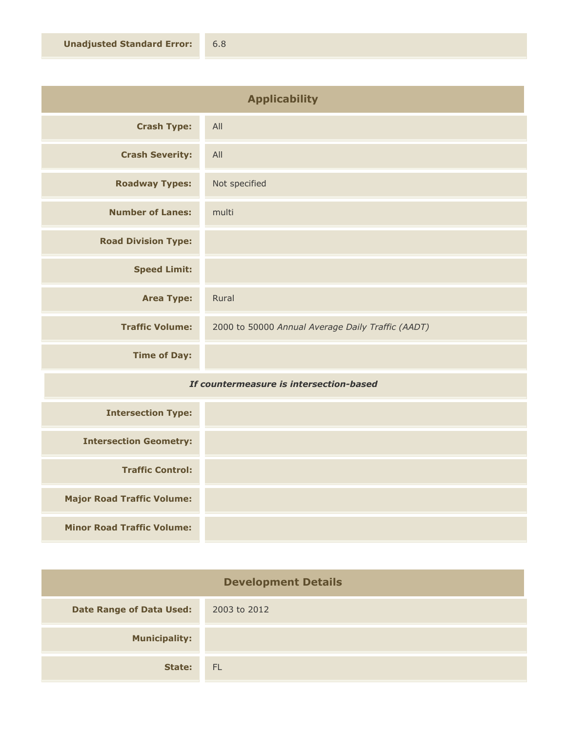| <b>Applicability</b>                                                                                            |                                                   |
|-----------------------------------------------------------------------------------------------------------------|---------------------------------------------------|
| <b>Crash Type:</b>                                                                                              | All                                               |
| <b>Crash Severity:</b>                                                                                          | All                                               |
| <b>Roadway Types:</b>                                                                                           | Not specified                                     |
| <b>Number of Lanes:</b>                                                                                         | multi                                             |
| <b>Road Division Type:</b>                                                                                      |                                                   |
| <b>Speed Limit:</b>                                                                                             |                                                   |
| <b>Area Type:</b>                                                                                               | Rural                                             |
| <b>Traffic Volume:</b>                                                                                          | 2000 to 50000 Annual Average Daily Traffic (AADT) |
| <b>Time of Day:</b>                                                                                             |                                                   |
| the contract of the contract of the contract of the contract of the contract of the contract of the contract of |                                                   |

## *If countermeasure is intersection-based*

| <b>Intersection Type:</b>         |  |
|-----------------------------------|--|
| <b>Intersection Geometry:</b>     |  |
| <b>Traffic Control:</b>           |  |
| <b>Major Road Traffic Volume:</b> |  |
| <b>Minor Road Traffic Volume:</b> |  |

| <b>Development Details</b>      |              |
|---------------------------------|--------------|
| <b>Date Range of Data Used:</b> | 2003 to 2012 |
| <b>Municipality:</b>            |              |
| State:                          | - FL         |